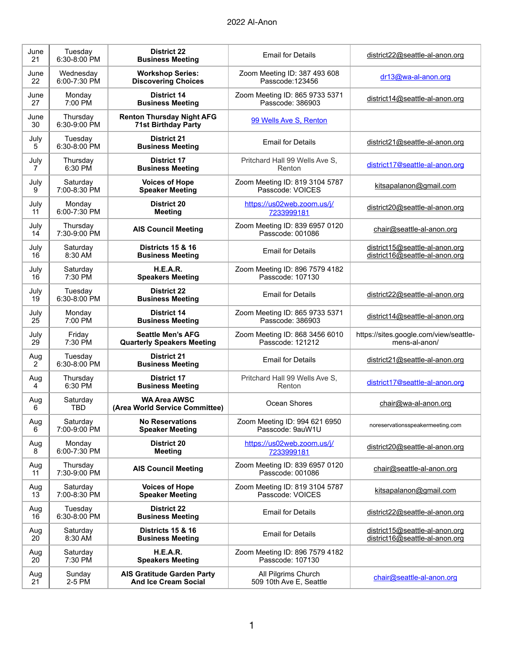| June<br>21            | Tuesday<br>6:30-8:00 PM  | <b>District 22</b><br><b>Business Meeting</b>                  | <b>Email for Details</b>                           | district22@seattle-al-anon.org         |
|-----------------------|--------------------------|----------------------------------------------------------------|----------------------------------------------------|----------------------------------------|
| June                  | Wednesday                | <b>Workshop Series:</b>                                        | Zoom Meeting ID: 387 493 608                       | dr13@wa-al-anon.org                    |
| 22                    | 6:00-7:30 PM             | <b>Discovering Choices</b>                                     | Passcode: 123456                                   |                                        |
| June                  | Monday                   | <b>District 14</b>                                             | Zoom Meeting ID: 865 9733 5371                     | district14@seattle-al-anon.org         |
| 27                    | 7:00 PM                  | <b>Business Meeting</b>                                        | Passcode: 386903                                   |                                        |
| June<br>30            | Thursday<br>6:30-9:00 PM | <b>Renton Thursday Night AFG</b><br><b>71st Birthday Party</b> | 99 Wells Ave S, Renton                             |                                        |
| July<br>5             | Tuesday<br>6:30-8:00 PM  | <b>District 21</b><br><b>Business Meeting</b>                  | <b>Email for Details</b>                           | district21@seattle-al-anon.org         |
| July                  | Thursday                 | <b>District 17</b>                                             | Pritchard Hall 99 Wells Ave S,                     | district17@seattle-al-anon.org         |
| 7                     | 6:30 PM                  | <b>Business Meeting</b>                                        | Renton                                             |                                        |
| July                  | Saturday                 | <b>Voices of Hope</b>                                          | Zoom Meeting ID: 819 3104 5787                     | kitsapalanon@gmail.com                 |
| 9                     | 7:00-8:30 PM             | <b>Speaker Meeting</b>                                         | Passcode: VOICES                                   |                                        |
| July                  | Monday                   | District 20                                                    | https://us02web.zoom.us/j/                         | district20@seattle-al-anon.org         |
| 11                    | 6:00-7:30 PM             | <b>Meeting</b>                                                 | 7233999181                                         |                                        |
| July<br>14            | Thursday<br>7:30-9:00 PM | <b>AIS Council Meeting</b>                                     | Zoom Meeting ID: 839 6957 0120<br>Passcode: 001086 | chair@seattle-al-anon.org              |
| July                  | Saturday                 | <b>Districts 15 &amp; 16</b>                                   | <b>Email for Details</b>                           | district15@seattle-al-anon.org         |
| 16                    | 8:30 AM                  | <b>Business Meeting</b>                                        |                                                    | district16@seattle-al-anon.org         |
| July                  | Saturday                 | H.E.A.R.                                                       | Zoom Meeting ID: 896 7579 4182                     |                                        |
| 16                    | 7:30 PM                  | <b>Speakers Meeting</b>                                        | Passcode: 107130                                   |                                        |
| July<br>19            | Tuesday<br>6:30-8:00 PM  | <b>District 22</b><br><b>Business Meeting</b>                  | <b>Email for Details</b>                           | district22@seattle-al-anon.org         |
| July                  | Monday                   | <b>District 14</b>                                             | Zoom Meeting ID: 865 9733 5371                     | district14@seattle-al-anon.org         |
| 25                    | 7:00 PM                  | <b>Business Meeting</b>                                        | Passcode: 386903                                   |                                        |
| July                  | Friday                   | <b>Seattle Men's AFG</b>                                       | Zoom Meeting ID: 868 3456 6010                     | https://sites.google.com/view/seattle- |
| 29                    | 7:30 PM                  | <b>Quarterly Speakers Meeting</b>                              | Passcode: 121212                                   | mens-al-anon/                          |
| Aug<br>$\overline{2}$ | Tuesday<br>6:30-8:00 PM  | <b>District 21</b><br><b>Business Meeting</b>                  | <b>Email for Details</b>                           | district21@seattle-al-anon.org         |
| Aug                   | Thursday                 | <b>District 17</b>                                             | Pritchard Hall 99 Wells Ave S.                     | district17@seattle-al-anon.org         |
| 4                     | 6:30 PM                  | <b>Business Meeting</b>                                        | Renton                                             |                                        |
| Aug<br>6              | Saturday<br><b>TBD</b>   | <b>WA Area AWSC</b><br>(Area World Service Committee)          | Ocean Shores                                       | chair@wa-al-anon.org                   |
| Aug                   | Saturday                 | <b>No Reservations</b>                                         | Zoom Meeting ID: 994 621 6950                      | noreservationsspeakermeeting.com       |
| 6                     | 7:00-9:00 PM             | <b>Speaker Meeting</b>                                         | Passcode: 9auW1U                                   |                                        |
| Aug                   | Monday                   | District 20                                                    | https://us02web.zoom.us/j/                         | district20@seattle-al-anon.org         |
| 8                     | 6:00-7:30 PM             | <b>Meeting</b>                                                 | 7233999181                                         |                                        |
| Aug<br>11             | Thursday<br>7:30-9:00 PM | <b>AIS Council Meeting</b>                                     | Zoom Meeting ID: 839 6957 0120<br>Passcode: 001086 | chair@seattle-al-anon.org              |
| Aug                   | Saturday                 | <b>Voices of Hope</b>                                          | Zoom Meeting ID: 819 3104 5787                     | kitsapalanon@gmail.com                 |
| 13                    | 7:00-8:30 PM             | <b>Speaker Meeting</b>                                         | Passcode: VOICES                                   |                                        |
| Aug<br>16             | Tuesday<br>6:30-8:00 PM  | <b>District 22</b><br><b>Business Meeting</b>                  | <b>Email for Details</b>                           | district22@seattle-al-anon.org         |
| Aug                   | Saturday                 | <b>Districts 15 &amp; 16</b>                                   | <b>Email for Details</b>                           | district15@seattle-al-anon.org         |
| 20                    | 8:30 AM                  | <b>Business Meeting</b>                                        |                                                    | district16@seattle-al-anon.org         |
| Aug                   | Saturday                 | H.E.A.R.                                                       | Zoom Meeting ID: 896 7579 4182                     |                                        |
| 20                    | 7:30 PM                  | <b>Speakers Meeting</b>                                        | Passcode: 107130                                   |                                        |
| Aug                   | Sunday                   | <b>AIS Gratitude Garden Party</b>                              | All Pilgrims Church                                | chair@seattle-al-anon.org              |
| 21                    | 2-5 PM                   | <b>And Ice Cream Social</b>                                    | 509 10th Ave E, Seattle                            |                                        |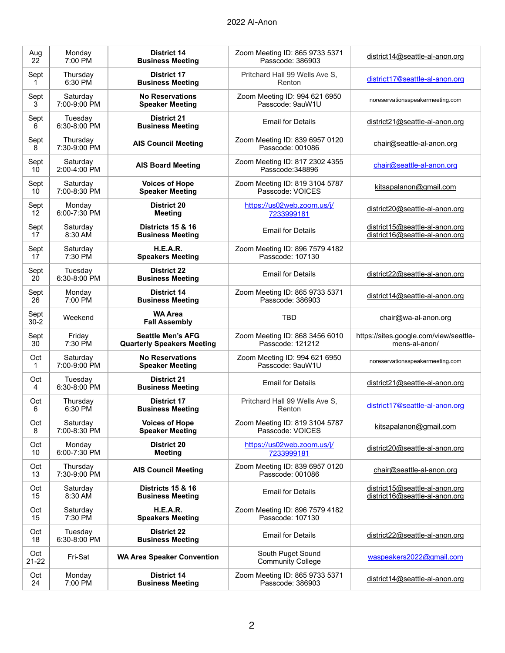| Aug              | Monday                   | <b>District 14</b>                            | Zoom Meeting ID: 865 9733 5371                     | district14@seattle-al-anon.org         |
|------------------|--------------------------|-----------------------------------------------|----------------------------------------------------|----------------------------------------|
| 22               | 7:00 PM                  | <b>Business Meeting</b>                       | Passcode: 386903                                   |                                        |
| Sept             | Thursday                 | <b>District 17</b>                            | Pritchard Hall 99 Wells Ave S,                     | district17@seattle-al-anon.org         |
| 1                | 6:30 PM                  | <b>Business Meeting</b>                       | Renton                                             |                                        |
| Sept             | Saturday                 | <b>No Reservations</b>                        | Zoom Meeting ID: 994 621 6950                      | noreservationsspeakermeeting.com       |
| 3                | 7:00-9:00 PM             | <b>Speaker Meeting</b>                        | Passcode: 9auW1U                                   |                                        |
| Sept<br>6        | Tuesday<br>6:30-8:00 PM  | <b>District 21</b><br><b>Business Meeting</b> | <b>Email for Details</b>                           | district21@seattle-al-anon.org         |
| Sept<br>8        | Thursday<br>7:30-9:00 PM | <b>AIS Council Meeting</b>                    | Zoom Meeting ID: 839 6957 0120<br>Passcode: 001086 | chair@seattle-al-anon.org              |
| Sept<br>10       | Saturday<br>2:00-4:00 PM | <b>AIS Board Meeting</b>                      | Zoom Meeting ID: 817 2302 4355<br>Passcode: 348896 | chair@seattle-al-anon.org              |
| Sept             | Saturday                 | <b>Voices of Hope</b>                         | Zoom Meeting ID: 819 3104 5787                     | kitsapalanon@gmail.com                 |
| 10               | 7:00-8:30 PM             | <b>Speaker Meeting</b>                        | Passcode: VOICES                                   |                                        |
| Sept             | Monday                   | <b>District 20</b>                            | https://us02web.zoom.us/j/                         | district20@seattle-al-anon.org         |
| 12               | 6:00-7:30 PM             | <b>Meeting</b>                                | 7233999181                                         |                                        |
| Sept             | Saturday                 | <b>Districts 15 &amp; 16</b>                  | <b>Email for Details</b>                           | district15@seattle-al-anon.org         |
| 17               | 8:30 AM                  | <b>Business Meeting</b>                       |                                                    | district16@seattle-al-anon.org         |
| Sept             | Saturday                 | H.E.A.R.                                      | Zoom Meeting ID: 896 7579 4182                     |                                        |
| 17               | 7:30 PM                  | <b>Speakers Meeting</b>                       | Passcode: 107130                                   |                                        |
| Sept<br>20       | Tuesday<br>6:30-8:00 PM  | <b>District 22</b><br><b>Business Meeting</b> | <b>Email for Details</b>                           | district22@seattle-al-anon.org         |
| Sept             | Monday                   | <b>District 14</b>                            | Zoom Meeting ID: 865 9733 5371                     | district14@seattle-al-anon.org         |
| 26               | 7:00 PM                  | <b>Business Meeting</b>                       | Passcode: 386903                                   |                                        |
| Sept<br>$30 - 2$ | Weekend                  | <b>WA Area</b><br><b>Fall Assembly</b>        | <b>TBD</b>                                         | chair@wa-al-anon.org                   |
| Sept             | Friday                   | <b>Seattle Men's AFG</b>                      | Zoom Meeting ID: 868 3456 6010                     | https://sites.google.com/view/seattle- |
| 30               | 7:30 PM                  | <b>Quarterly Speakers Meeting</b>             | Passcode: 121212                                   | mens-al-anon/                          |
| Oct              | Saturday                 | <b>No Reservations</b>                        | Zoom Meeting ID: 994 621 6950                      | noreservationsspeakermeeting.com       |
| 1                | 7:00-9:00 PM             | <b>Speaker Meeting</b>                        | Passcode: 9auW1U                                   |                                        |
| Oct<br>4         | Tuesday<br>6:30-8:00 PM  | <b>District 21</b><br><b>Business Meeting</b> | <b>Email for Details</b>                           | district21@seattle-al-anon.org         |
| Oct              | Thursday                 | <b>District 17</b>                            | Pritchard Hall 99 Wells Ave S,                     | district17@seattle-al-anon.org         |
| 6                | 6:30 PM                  | <b>Business Meeting</b>                       | Renton                                             |                                        |
| Oct              | Saturday                 | <b>Voices of Hope</b>                         | Zoom Meeting ID: 819 3104 5787                     | kitsapalanon@gmail.com                 |
| 8                | 7:00-8:30 PM             | <b>Speaker Meeting</b>                        | Passcode: VOICES                                   |                                        |
| Oct              | Monday                   | <b>District 20</b>                            | https://us02web.zoom.us/j/                         | district20@seattle-al-anon.org         |
| 10               | 6:00-7:30 PM             | <b>Meeting</b>                                | 7233999181                                         |                                        |
| Oct<br>13        | Thursday<br>7:30-9:00 PM | <b>AIS Council Meeting</b>                    | Zoom Meeting ID: 839 6957 0120<br>Passcode: 001086 | chair@seattle-al-anon.org              |
| Oct              | Saturday                 | <b>Districts 15 &amp; 16</b>                  | <b>Email for Details</b>                           | district15@seattle-al-anon.org         |
| 15               | 8:30 AM                  | <b>Business Meeting</b>                       |                                                    | district16@seattle-al-anon.org         |
| Oct              | Saturday                 | H.E.A.R.                                      | Zoom Meeting ID: 896 7579 4182                     |                                        |
| 15               | 7:30 PM                  | <b>Speakers Meeting</b>                       | Passcode: 107130                                   |                                        |
| Oct<br>18        | Tuesday<br>6:30-8:00 PM  | <b>District 22</b><br><b>Business Meeting</b> | <b>Email for Details</b>                           | district22@seattle-al-anon.org         |
| Oct<br>$21 - 22$ | Fri-Sat                  | <b>WA Area Speaker Convention</b>             | South Puget Sound<br><b>Community College</b>      | waspeakers2022@gmail.com               |
| Oct              | Monday                   | <b>District 14</b>                            | Zoom Meeting ID: 865 9733 5371                     | district14@seattle-al-anon.org         |
| 24               | 7:00 PM                  | <b>Business Meeting</b>                       | Passcode: 386903                                   |                                        |